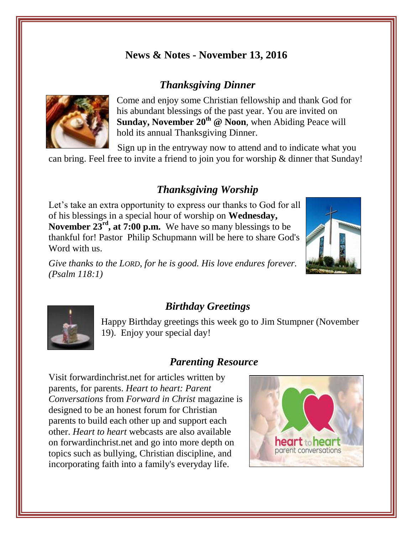### **News & Notes - November 13, 2016**

#### *Thanksgiving Dinner*



Come and enjoy some Christian fellowship and thank God for his abundant blessings of the past year. You are invited on Sunday, November 20<sup>th</sup> @ Noon, when Abiding Peace will hold its annual Thanksgiving Dinner.

Sign up in the entryway now to attend and to indicate what you can bring. Feel free to invite a friend to join you for worship & dinner that Sunday!

# *Thanksgiving Worship*

Let's take an extra opportunity to express our thanks to God for all of his blessings in a special hour of worship on **Wednesday, November 23<sup>rd</sup>, at 7:00 p.m.** We have so many blessings to be thankful for! Pastor Philip Schupmann will be here to share God's Word with us.

*Give thanks to the LORD, for he is good. His love endures forever. (Psalm 118:1)*





#### *Birthday Greetings*

Happy Birthday greetings this week go to Jim Stumpner (November 19). Enjoy your special day!

### *Parenting Resource*

Visit forwardinchrist.net for articles written by parents, for parents. *Heart to heart: Parent Conversations* from *Forward in Christ* magazine is designed to be an honest forum for Christian parents to build each other up and support each other. *Heart to heart* webcasts are also available on forwardinchrist.net and go into more depth on topics such as bullying, Christian discipline, and incorporating faith into a family's everyday life.